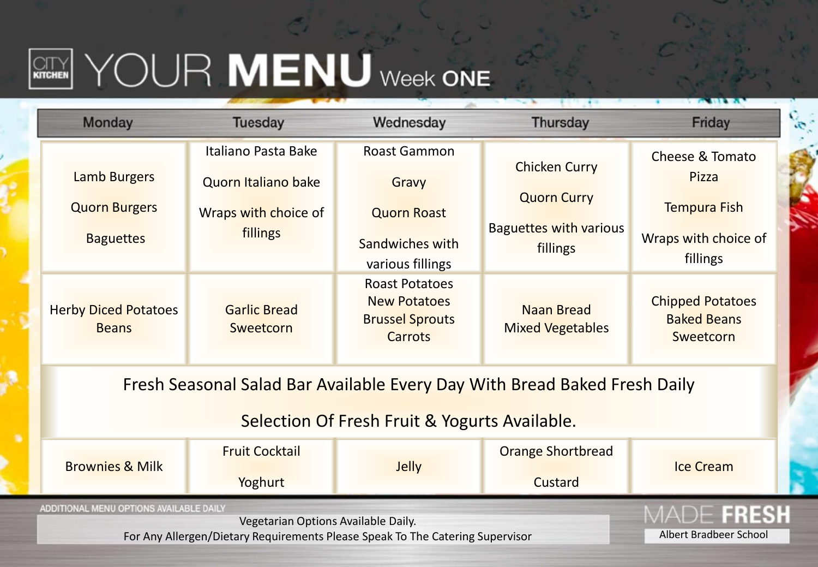## **REARNING WENU** Week ONE

|                                                                           | <b>Monday</b>                                                                 | <b>Tuesday</b>                              | Wednesday                                                                                | <b>Thursday</b>                              | Friday                                                     |  |  |  |
|---------------------------------------------------------------------------|-------------------------------------------------------------------------------|---------------------------------------------|------------------------------------------------------------------------------------------|----------------------------------------------|------------------------------------------------------------|--|--|--|
|                                                                           | <b>Lamb Burgers</b>                                                           | Italiano Pasta Bake                         | <b>Roast Gammon</b>                                                                      | <b>Chicken Curry</b>                         | Cheese & Tomato<br>Pizza                                   |  |  |  |
|                                                                           | <b>Quorn Burgers</b>                                                          | Quorn Italiano bake<br>Wraps with choice of | Gravy<br><b>Quorn Roast</b>                                                              | <b>Quorn Curry</b>                           | Tempura Fish                                               |  |  |  |
|                                                                           | <b>Baguettes</b>                                                              | fillings                                    | Sandwiches with<br>various fillings                                                      | <b>Baguettes with various</b><br>fillings    | Wraps with choice of<br>fillings                           |  |  |  |
|                                                                           | <b>Herby Diced Potatoes</b><br><b>Beans</b>                                   | <b>Garlic Bread</b><br>Sweetcorn            | <b>Roast Potatoes</b><br><b>New Potatoes</b><br><b>Brussel Sprouts</b><br><b>Carrots</b> | <b>Naan Bread</b><br><b>Mixed Vegetables</b> | <b>Chipped Potatoes</b><br><b>Baked Beans</b><br>Sweetcorn |  |  |  |
| Fresh Seasonal Salad Bar Available Every Day With Bread Baked Fresh Daily |                                                                               |                                             |                                                                                          |                                              |                                                            |  |  |  |
|                                                                           | Selection Of Fresh Fruit & Yogurts Available.                                 |                                             |                                                                                          |                                              |                                                            |  |  |  |
|                                                                           | <b>Brownies &amp; Milk</b>                                                    | <b>Fruit Cocktail</b>                       | <b>Jelly</b>                                                                             | <b>Orange Shortbread</b>                     | <b>Ice Cream</b>                                           |  |  |  |
|                                                                           |                                                                               | Yoghurt                                     |                                                                                          | Custard                                      |                                                            |  |  |  |
|                                                                           | ADDITIONAL MENU OPTIONS AVAILABLE DAILY                                       | FRESH                                       |                                                                                          |                                              |                                                            |  |  |  |
|                                                                           | For Any Allergen/Dietary Requirements Please Speak To The Catering Supervisor | Albert Bradbeer School                      |                                                                                          |                                              |                                                            |  |  |  |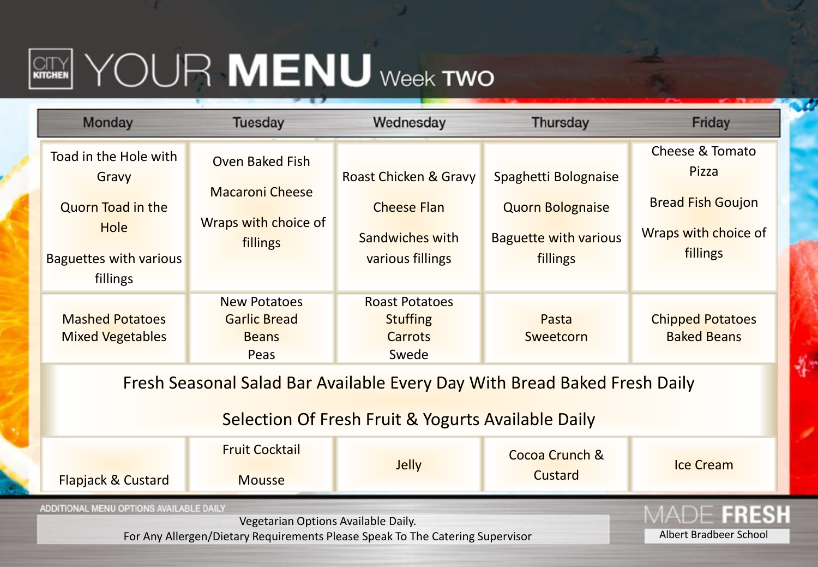## **REARY YOUR MENU** Week TWO

| Monday                                                                                                                          | <b>Tuesday</b>                                                                       | Wednesday                                                                          | Thursday                                                                                    | Friday                                                                                   |  |  |
|---------------------------------------------------------------------------------------------------------------------------------|--------------------------------------------------------------------------------------|------------------------------------------------------------------------------------|---------------------------------------------------------------------------------------------|------------------------------------------------------------------------------------------|--|--|
| Toad in the Hole with<br>Gravy<br><b>Quorn Toad in the</b><br>Hole<br><b>Baguettes with various</b><br>fillings                 | <b>Oven Baked Fish</b><br><b>Macaroni Cheese</b><br>Wraps with choice of<br>fillings | Roast Chicken & Gravy<br><b>Cheese Flan</b><br>Sandwiches with<br>various fillings | Spaghetti Bolognaise<br><b>Quorn Bolognaise</b><br><b>Baguette with various</b><br>fillings | Cheese & Tomato<br>Pizza<br><b>Bread Fish Goujon</b><br>Wraps with choice of<br>fillings |  |  |
| <b>Mashed Potatoes</b><br><b>Mixed Vegetables</b>                                                                               | <b>New Potatoes</b><br><b>Garlic Bread</b><br><b>Beans</b><br>Peas                   | <b>Roast Potatoes</b><br><b>Stuffing</b><br><b>Carrots</b><br>Swede                | Pasta<br>Sweetcorn                                                                          | <b>Chipped Potatoes</b><br><b>Baked Beans</b>                                            |  |  |
| Fresh Seasonal Salad Bar Available Every Day With Bread Baked Fresh Daily<br>Selection Of Fresh Fruit & Yogurts Available Daily |                                                                                      |                                                                                    |                                                                                             |                                                                                          |  |  |
| Flapjack & Custard                                                                                                              | <b>Fruit Cocktail</b><br><b>Mousse</b>                                               | <b>Jelly</b>                                                                       | Cocoa Crunch &<br>Custard                                                                   | <b>Ice Cream</b>                                                                         |  |  |
| ADDITIONAL MENU OPTIONS AVAILABLE DAILY<br>For Any Allergen/Dietary Requirements Please Speak To The Catering Supervisor        | 1115311<br>Albert Bradbeer School                                                    |                                                                                    |                                                                                             |                                                                                          |  |  |